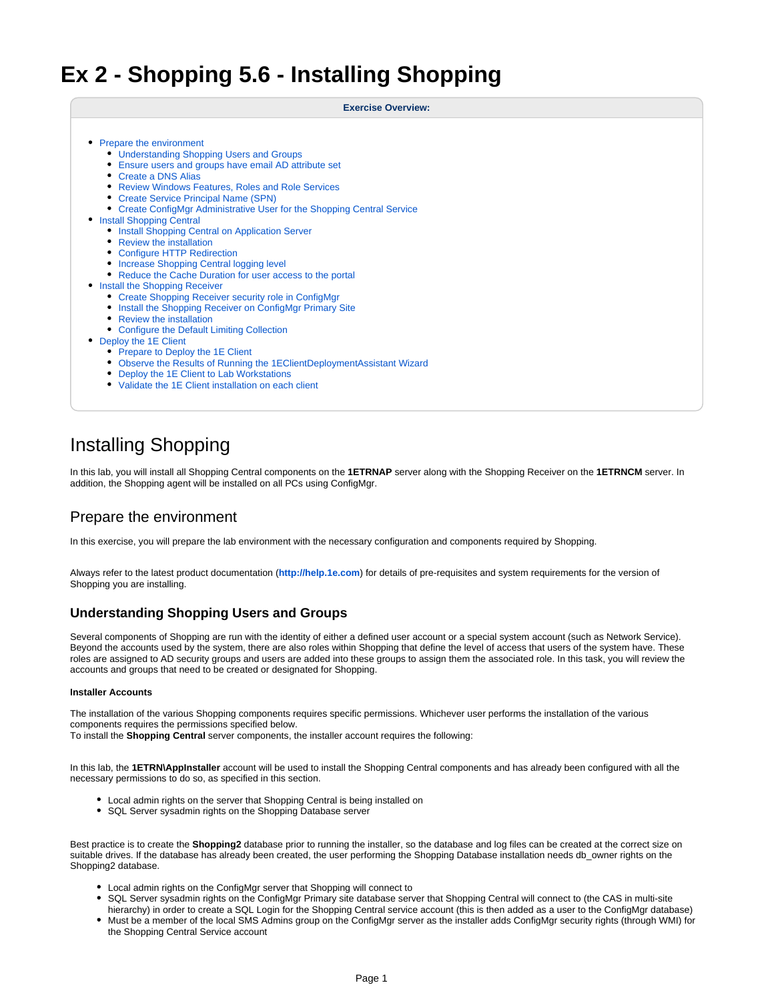# **Ex 2 - Shopping 5.6 - Installing Shopping**

**Exercise Overview:**

- [Prepare the environment](#page-0-0)
	- [Understanding Shopping Users and Groups](#page-0-1)
	- [Ensure users and groups have email AD attribute set](#page-3-0)
	- [Create a DNS Alias](#page-4-0)
	- [Review Windows Features, Roles and Role Services](#page-4-1)
	- [Create Service Principal Name \(SPN\)](#page-5-0)
	- [Create ConfigMgr Administrative User for the Shopping Central Service](#page-6-0)
- [Install Shopping Central](#page-6-1)
	- **[Install Shopping Central on Application Server](#page-6-2)**
	- [Review the installation](#page-7-0)
	- [Configure HTTP Redirection](#page-8-0)
	- [Increase Shopping Central logging level](#page-8-1)
	- [Reduce the Cache Duration for user access to the portal](#page-8-2)
- [Install the Shopping Receiver](#page-9-0)
	- [Create Shopping Receiver security role in ConfigMgr](#page-9-1)
	- **[Install the Shopping Receiver on ConfigMgr Primary Site](#page-9-2)**
	- [Review the installation](#page-10-0)
	- [Configure the Default Limiting Collection](#page-10-1)
- [Deploy the 1E Client](#page-10-2)
	- [Prepare to Deploy the 1E Client](#page-11-0)
	- [Observe the Results of Running the 1EClientDeploymentAssistant Wizard](#page-11-1)
	- [Deploy the 1E Client to Lab Workstations](#page-11-2)
	- [Validate the 1E Client installation on each client](#page-12-0)

# Installing Shopping

In this lab, you will install all Shopping Central components on the **1ETRNAP** server along with the Shopping Receiver on the **1ETRNCM** server. In addition, the Shopping agent will be installed on all PCs using ConfigMgr.

# <span id="page-0-0"></span>Prepare the environment

In this exercise, you will prepare the lab environment with the necessary configuration and components required by Shopping.

Always refer to the latest product documentation (**[http://help.1e.com](http://help.1e.com/)**) for details of pre-requisites and system requirements for the version of Shopping you are installing.

# <span id="page-0-1"></span>**Understanding Shopping Users and Groups**

Several components of Shopping are run with the identity of either a defined user account or a special system account (such as Network Service). Beyond the accounts used by the system, there are also roles within Shopping that define the level of access that users of the system have. These roles are assigned to AD security groups and users are added into these groups to assign them the associated role. In this task, you will review the accounts and groups that need to be created or designated for Shopping.

### **Installer Accounts**

The installation of the various Shopping components requires specific permissions. Whichever user performs the installation of the various components requires the permissions specified below.

To install the **Shopping Central** server components, the installer account requires the following:

In this lab, the **1ETRN\AppInstaller** account will be used to install the Shopping Central components and has already been configured with all the necessary permissions to do so, as specified in this section.

- Local admin rights on the server that Shopping Central is being installed on
- SQL Server sysadmin rights on the Shopping Database server

Best practice is to create the **Shopping2** database prior to running the installer, so the database and log files can be created at the correct size on suitable drives. If the database has already been created, the user performing the Shopping Database installation needs db\_owner rights on the Shopping2 database.

- Local admin rights on the ConfigMgr server that Shopping will connect to
- SQL Server sysadmin rights on the ConfigMgr Primary site database server that Shopping Central will connect to (the CAS in multi-site hierarchy) in order to create a SQL Login for the Shopping Central service account (this is then added as a user to the ConfigMgr database)
- Must be a member of the local SMS Admins group on the ConfigMgr server as the installer adds ConfigMgr security rights (through WMI) for the Shopping Central Service account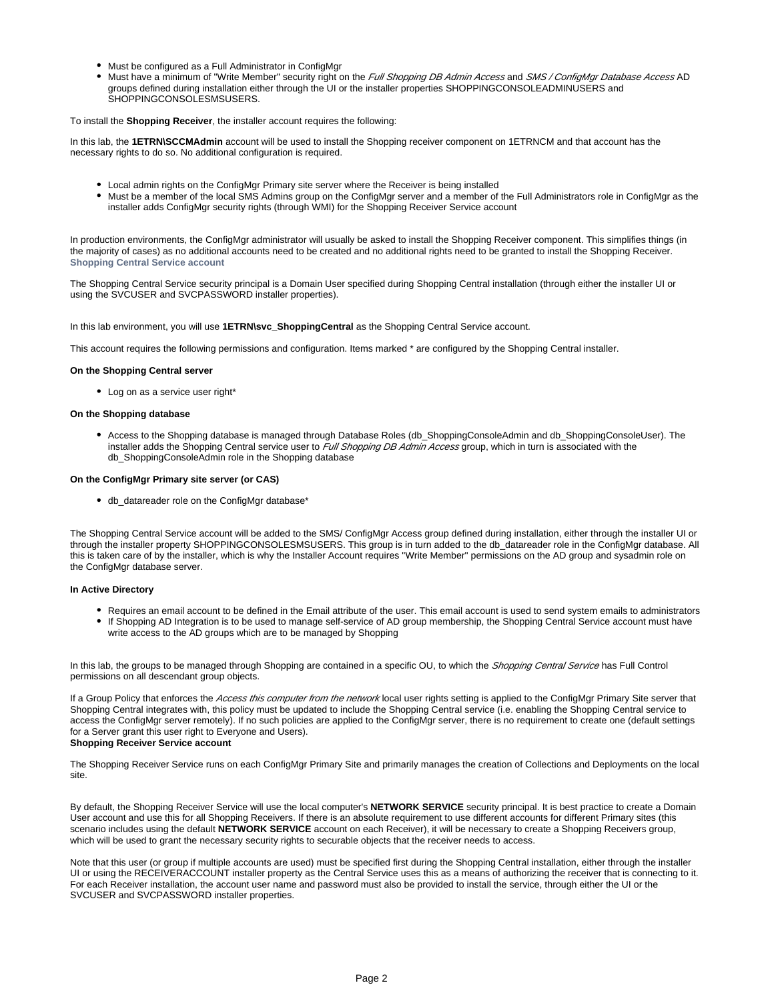- Must be configured as a Full Administrator in ConfigMgr
- Must have a minimum of "Write Member" security right on the Full Shopping DB Admin Access and SMS / ConfigMgr Database Access AD groups defined during installation either through the UI or the installer properties SHOPPINGCONSOLEADMINUSERS and SHOPPINGCONSOLESMSUSERS.

### To install the **Shopping Receiver**, the installer account requires the following:

In this lab, the **1ETRN\SCCMAdmin** account will be used to install the Shopping receiver component on 1ETRNCM and that account has the necessary rights to do so. No additional configuration is required.

- Local admin rights on the ConfigMgr Primary site server where the Receiver is being installed
- Must be a member of the local SMS Admins group on the ConfigMgr server and a member of the Full Administrators role in ConfigMgr as the installer adds ConfigMgr security rights (through WMI) for the Shopping Receiver Service account

In production environments, the ConfigMgr administrator will usually be asked to install the Shopping Receiver component. This simplifies things (in the majority of cases) as no additional accounts need to be created and no additional rights need to be granted to install the Shopping Receiver. **Shopping Central Service account**

The Shopping Central Service security principal is a Domain User specified during Shopping Central installation (through either the installer UI or using the SVCUSER and SVCPASSWORD installer properties).

In this lab environment, you will use **1ETRN\svc\_ShoppingCentral** as the Shopping Central Service account.

This account requires the following permissions and configuration. Items marked \* are configured by the Shopping Central installer.

#### **On the Shopping Central server**

• Log on as a service user right\*

#### **On the Shopping database**

Access to the Shopping database is managed through Database Roles (db\_ShoppingConsoleAdmin and db\_ShoppingConsoleUser). The installer adds the Shopping Central service user to Full Shopping DB Admin Access group, which in turn is associated with the db\_ShoppingConsoleAdmin role in the Shopping database

#### **On the ConfigMgr Primary site server (or CAS)**

db\_datareader role on the ConfigMgr database\*

The Shopping Central Service account will be added to the SMS/ ConfigMgr Access group defined during installation, either through the installer UI or through the installer property SHOPPINGCONSOLESMSUSERS. This group is in turn added to the db\_datareader role in the ConfigMgr database. All this is taken care of by the installer, which is why the Installer Account requires "Write Member" permissions on the AD group and sysadmin role on the ConfigMgr database server.

# **In Active Directory**

- Requires an email account to be defined in the Email attribute of the user. This email account is used to send system emails to administrators
- If Shopping AD Integration is to be used to manage self-service of AD group membership, the Shopping Central Service account must have write access to the AD groups which are to be managed by Shopping

In this lab, the groups to be managed through Shopping are contained in a specific OU, to which the Shopping Central Service has Full Control permissions on all descendant group objects.

If a Group Policy that enforces the Access this computer from the network local user rights setting is applied to the ConfigMgr Primary Site server that Shopping Central integrates with, this policy must be updated to include the Shopping Central service (i.e. enabling the Shopping Central service to access the ConfigMgr server remotely). If no such policies are applied to the ConfigMgr server, there is no requirement to create one (default settings for a Server grant this user right to Everyone and Users).

# **Shopping Receiver Service account**

The Shopping Receiver Service runs on each ConfigMgr Primary Site and primarily manages the creation of Collections and Deployments on the local site.

By default, the Shopping Receiver Service will use the local computer's **NETWORK SERVICE** security principal. It is best practice to create a Domain User account and use this for all Shopping Receivers. If there is an absolute requirement to use different accounts for different Primary sites (this scenario includes using the default **NETWORK SERVICE** account on each Receiver), it will be necessary to create a Shopping Receivers group, which will be used to grant the necessary security rights to securable objects that the receiver needs to access.

Note that this user (or group if multiple accounts are used) must be specified first during the Shopping Central installation, either through the installer UI or using the RECEIVERACCOUNT installer property as the Central Service uses this as a means of authorizing the receiver that is connecting to it. For each Receiver installation, the account user name and password must also be provided to install the service, through either the UI or the SVCUSER and SVCPASSWORD installer properties.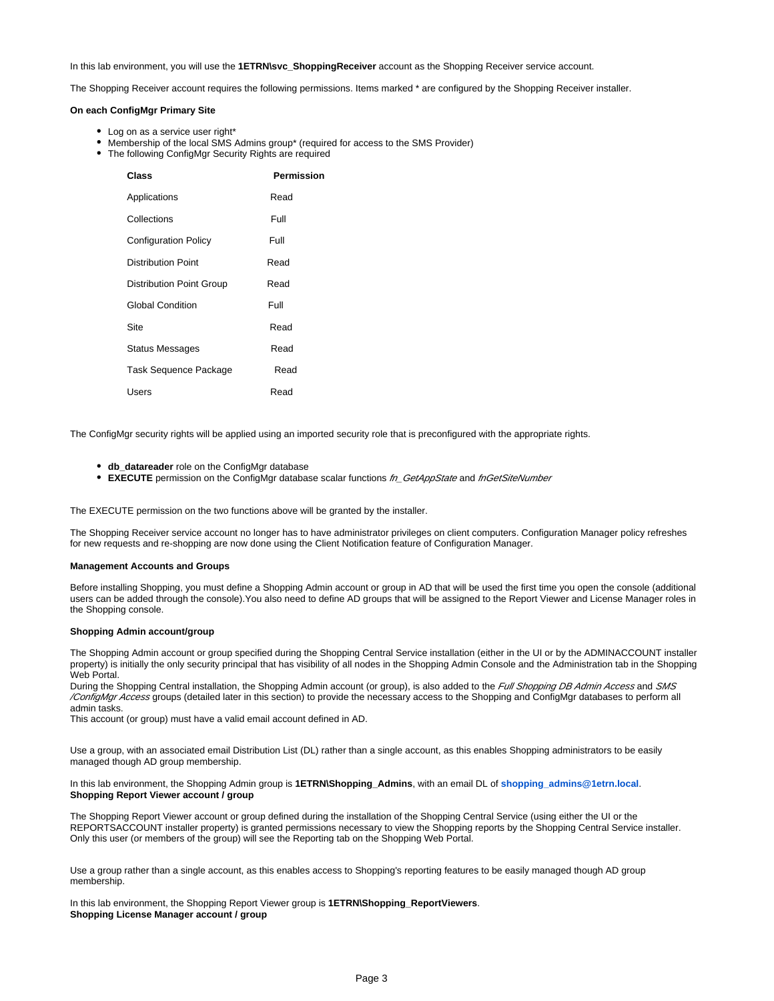In this lab environment, you will use the **1ETRN\svc\_ShoppingReceiver** account as the Shopping Receiver service account.

The Shopping Receiver account requires the following permissions. Items marked \* are configured by the Shopping Receiver installer.

#### **On each ConfigMgr Primary Site**

- Log on as a service user right\*
- Membership of the local SMS Admins group\* (required for access to the SMS Provider)
- The following ConfigMgr Security Rights are required

| Class                           | Permission |
|---------------------------------|------------|
| Applications                    | Read       |
| Collections                     | Full       |
| <b>Configuration Policy</b>     | Full       |
| Distribution Point              | Read       |
| <b>Distribution Point Group</b> | Read       |
| <b>Global Condition</b>         | Full       |
| Site                            | Read       |
| <b>Status Messages</b>          | Read       |
| Task Sequence Package           | Read       |
| Users                           | Read       |

The ConfigMgr security rights will be applied using an imported security role that is preconfigured with the appropriate rights.

- **db\_datareader** role on the ConfigMgr database
- **EXECUTE** permission on the ConfigMgr database scalar functions  $fn$ <sub>GetAppState</sub> and fnGetSiteNumber

The EXECUTE permission on the two functions above will be granted by the installer.

The Shopping Receiver service account no longer has to have administrator privileges on client computers. Configuration Manager policy refreshes for new requests and re-shopping are now done using the Client Notification feature of Configuration Manager.

#### **Management Accounts and Groups**

Before installing Shopping, you must define a Shopping Admin account or group in AD that will be used the first time you open the console (additional users can be added through the console).You also need to define AD groups that will be assigned to the Report Viewer and License Manager roles in the Shopping console.

### **Shopping Admin account/group**

The Shopping Admin account or group specified during the Shopping Central Service installation (either in the UI or by the ADMINACCOUNT installer property) is initially the only security principal that has visibility of all nodes in the Shopping Admin Console and the Administration tab in the Shopping Web Portal.

During the Shopping Central installation, the Shopping Admin account (or group), is also added to the Full Shopping DB Admin Access and SMS /ConfigMgr Access groups (detailed later in this section) to provide the necessary access to the Shopping and ConfigMgr databases to perform all admin tasks.

This account (or group) must have a valid email account defined in AD.

Use a group, with an associated email Distribution List (DL) rather than a single account, as this enables Shopping administrators to be easily managed though AD group membership.

#### In this lab environment, the Shopping Admin group is **1ETRN\Shopping\_Admins**, with an email DL of **[shopping\\_admins@1etrn.local](mailto:Shopping_Admins@1etrn.local)**. **Shopping Report Viewer account / group**

The Shopping Report Viewer account or group defined during the installation of the Shopping Central Service (using either the UI or the REPORTSACCOUNT installer property) is granted permissions necessary to view the Shopping reports by the Shopping Central Service installer. Only this user (or members of the group) will see the Reporting tab on the Shopping Web Portal.

Use a group rather than a single account, as this enables access to Shopping's reporting features to be easily managed though AD group membership.

In this lab environment, the Shopping Report Viewer group is **1ETRN\Shopping\_ReportViewers**. **Shopping License Manager account / group**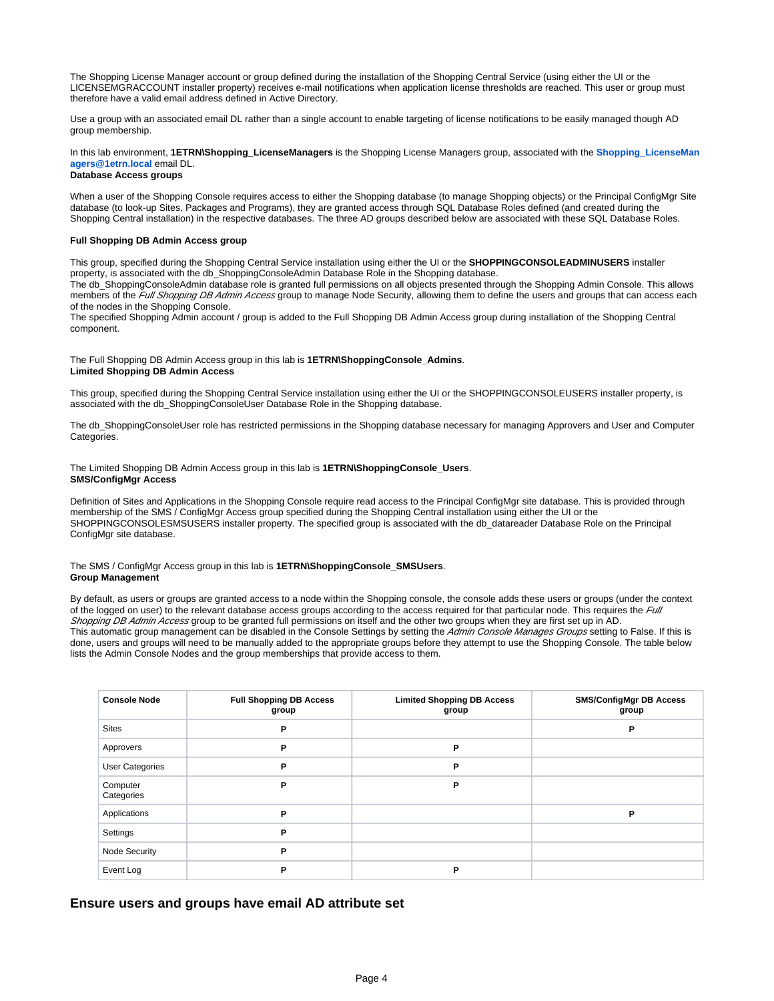The Shopping License Manager account or group defined during the installation of the Shopping Central Service (using either the UI or the LICENSEMGRACCOUNT installer property) receives e-mail notifications when application license thresholds are reached. This user or group must therefore have a valid email address defined in Active Directory.

Use a group with an associated email DL rather than a single account to enable targeting of license notifications to be easily managed though AD group membership.

# In this lab environment, **1ETRN\Shopping\_LicenseManagers** is the Shopping License Managers group, associated with the **[Shopping\\_LicenseMan](mailto:Shopping_LicenseManagers@1etrn.local) [agers@1etrn.local](mailto:Shopping_LicenseManagers@1etrn.local)** email DL.

# **Database Access groups**

When a user of the Shopping Console requires access to either the Shopping database (to manage Shopping objects) or the Principal ConfigMgr Site database (to look-up Sites, Packages and Programs), they are granted access through SQL Database Roles defined (and created during the Shopping Central installation) in the respective databases. The three AD groups described below are associated with these SQL Database Roles.

### **Full Shopping DB Admin Access group**

This group, specified during the Shopping Central Service installation using either the UI or the **SHOPPINGCONSOLEADMINUSERS** installer property, is associated with the db\_ShoppingConsoleAdmin Database Role in the Shopping database.

The db\_ShoppingConsoleAdmin database role is granted full permissions on all objects presented through the Shopping Admin Console. This allows members of the Full Shopping DB Admin Access group to manage Node Security, allowing them to define the users and groups that can access each of the nodes in the Shopping Console.

The specified Shopping Admin account / group is added to the Full Shopping DB Admin Access group during installation of the Shopping Central component.

### The Full Shopping DB Admin Access group in this lab is **1ETRN\ShoppingConsole\_Admins**. **Limited Shopping DB Admin Access**

This group, specified during the Shopping Central Service installation using either the UI or the SHOPPINGCONSOLEUSERS installer property, is associated with the db\_ShoppingConsoleUser Database Role in the Shopping database.

The db\_ShoppingConsoleUser role has restricted permissions in the Shopping database necessary for managing Approvers and User and Computer Categories.

#### The Limited Shopping DB Admin Access group in this lab is **1ETRN\ShoppingConsole\_Users**. **SMS/ConfigMgr Access**

Definition of Sites and Applications in the Shopping Console require read access to the Principal ConfigMgr site database. This is provided through membership of the SMS / ConfigMgr Access group specified during the Shopping Central installation using either the UI or the SHOPPINGCONSOLESMSUSERS installer property. The specified group is associated with the db\_datareader Database Role on the Principal ConfigMgr site database.

### The SMS / ConfigMgr Access group in this lab is **1ETRN\ShoppingConsole\_SMSUsers**. **Group Management**

By default, as users or groups are granted access to a node within the Shopping console, the console adds these users or groups (under the context of the logged on user) to the relevant database access groups according to the access required for that particular node. This requires the Full Shopping DB Admin Access group to be granted full permissions on itself and the other two groups when they are first set up in AD. This automatic group management can be disabled in the Console Settings by setting the Admin Console Manages Groups setting to False. If this is done, users and groups will need to be manually added to the appropriate groups before they attempt to use the Shopping Console. The table below lists the Admin Console Nodes and the group memberships that provide access to them.

| <b>Console Node</b>    | <b>Full Shopping DB Access</b><br>group | <b>Limited Shopping DB Access</b><br>group | <b>SMS/ConfigMgr DB Access</b><br>group |
|------------------------|-----------------------------------------|--------------------------------------------|-----------------------------------------|
| <b>Sites</b>           | P                                       |                                            | Ρ                                       |
| Approvers              | P                                       | P                                          |                                         |
| <b>User Categories</b> | P                                       | P                                          |                                         |
| Computer<br>Categories | P                                       | P                                          |                                         |
| Applications           | P                                       |                                            | Р                                       |
| Settings               | P                                       |                                            |                                         |
| Node Security          | P                                       |                                            |                                         |
| Event Log              | P                                       | P                                          |                                         |

# <span id="page-3-0"></span>**Ensure users and groups have email AD attribute set**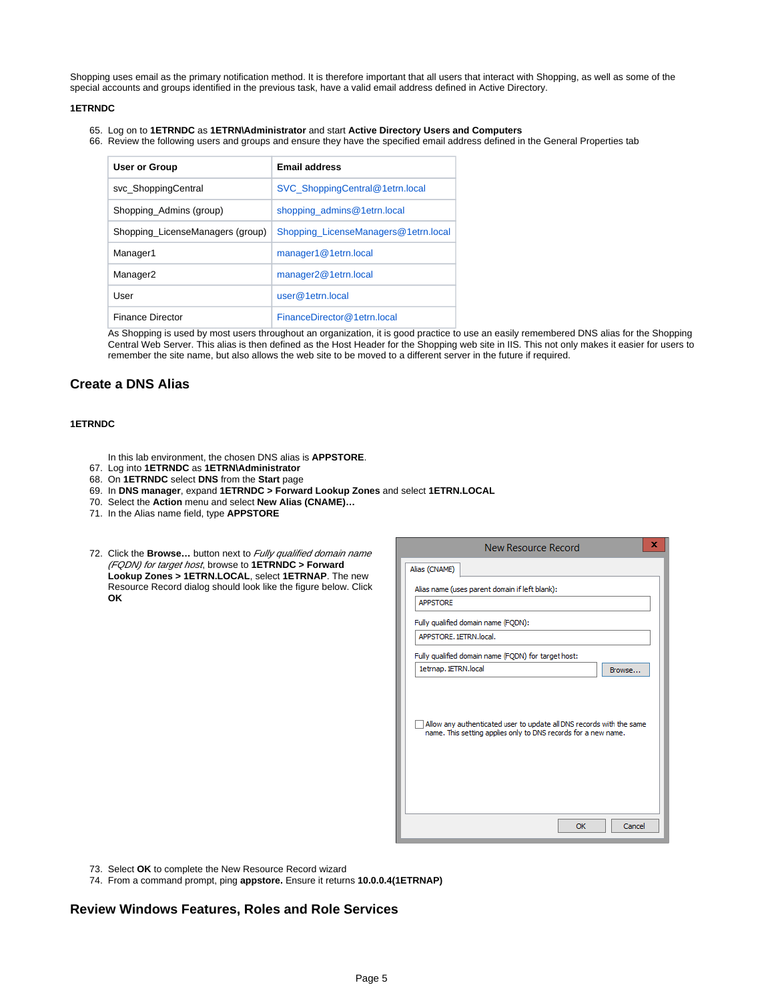Shopping uses email as the primary notification method. It is therefore important that all users that interact with Shopping, as well as some of the special accounts and groups identified in the previous task, have a valid email address defined in Active Directory.

## **1ETRNDC**

- 65. Log on to **1ETRNDC** as **1ETRN\Administrator** and start **Active Directory Users and Computers**
- 66. Review the following users and groups and ensure they have the specified email address defined in the General Properties tab

| User or Group                    | <b>Email address</b>                 |
|----------------------------------|--------------------------------------|
| svc ShoppingCentral              | SVC ShoppingCentral@1etrn.local      |
| Shopping_Admins (group)          | shopping admins@1etrn.local          |
| Shopping LicenseManagers (group) | Shopping_LicenseManagers@1etrn.local |
| Manager1                         | manager1@1etrn.local                 |
| Manager <sub>2</sub>             | manager2@1etrn.local                 |
| User                             | user@1etrn.                          |
| <b>Finance Director</b>          | FinanceDirector@1etrn.local          |

As Shopping is used by most users throughout an organization, it is good practice to use an easily remembered DNS alias for the Shopping Central Web Server. This alias is then defined as the Host Header for the Shopping web site in IIS. This not only makes it easier for users to remember the site name, but also allows the web site to be moved to a different server in the future if required.

# <span id="page-4-0"></span>**Create a DNS Alias**

# **1ETRNDC**

- In this lab environment, the chosen DNS alias is **APPSTORE**.
- 67. Log into **1ETRNDC** as **1ETRN\Administrator**
- 68. On **1ETRNDC** select **DNS** from the **Start** page
- 69. In **DNS manager**, expand **1ETRNDC > Forward Lookup Zones** and select **1ETRN.LOCAL**
- 70. Select the **Action** menu and select **New Alias (CNAME)…**
- 71. In the Alias name field, type **APPSTORE**

| 72. Click the <b>Browse</b> button next to <i>Fully qualified domain name</i> |
|-------------------------------------------------------------------------------|
| (FQDN) for target host, browse to 1ETRNDC > Forward                           |
| Lookup Zones > 1ETRN.LOCAL, select 1ETRNAP. The new                           |
| Resource Record dialog should look like the figure below. Click               |
| OK                                                                            |

| New Resource Record                                                                                                                    | x |
|----------------------------------------------------------------------------------------------------------------------------------------|---|
| Alias (CNAME)                                                                                                                          |   |
| Alias name (uses parent domain if left blank):                                                                                         |   |
| <b>APPSTORE</b>                                                                                                                        |   |
| Fully qualified domain name (FQDN):                                                                                                    |   |
| APPSTORE, 1ETRN.local.                                                                                                                 |   |
| Fully qualified domain name (FQDN) for target host:                                                                                    |   |
| 1etrnap. 1ETRN.local<br>Browse                                                                                                         |   |
| Allow any authenticated user to update all DNS records with the same<br>name. This setting applies only to DNS records for a new name. |   |
| Cancel<br>OK                                                                                                                           |   |

- 73. Select **OK** to complete the New Resource Record wizard
- 74. From a command prompt, ping **appstore.** Ensure it returns **10.0.0.4(1ETRNAP)**

# <span id="page-4-1"></span>**Review Windows Features, Roles and Role Services**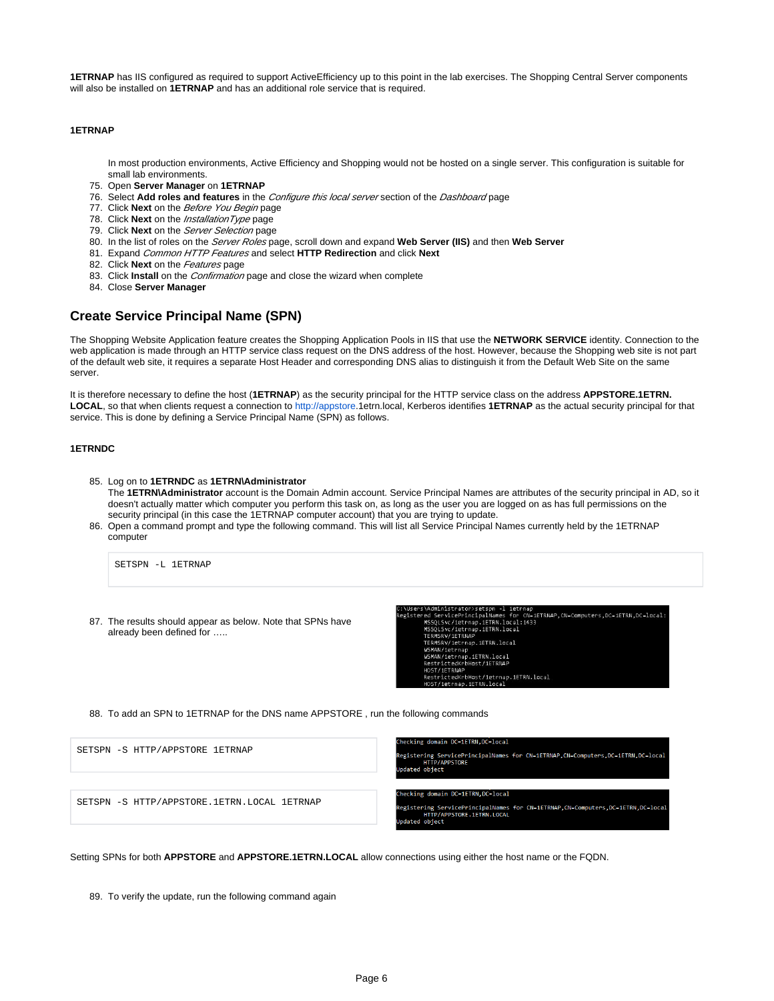**1ETRNAP** has IIS configured as required to support ActiveEfficiency up to this point in the lab exercises. The Shopping Central Server components will also be installed on **1ETRNAP** and has an additional role service that is required.

### **1ETRNAP**

In most production environments, Active Efficiency and Shopping would not be hosted on a single server. This configuration is suitable for small lab environments.

- 75. Open **Server Manager** on **1ETRNAP**
- 76. Select **Add roles and features** in the Configure this local server section of the Dashboard page
- 77. Click **Next** on the Before You Begin page
- 78. Click **Next** on the InstallationType page
- 79. Click **Next** on the Server Selection page
- 80. In the list of roles on the Server Roles page, scroll down and expand **Web Server (IIS)** and then **Web Server**
- 81. Expand Common HTTP Features and select **HTTP Redirection** and click **Next**
- 82. Click **Next** on the Features page
- 83. Click **Install** on the Confirmation page and close the wizard when complete
- 84. Close **Server Manager**

# <span id="page-5-0"></span>**Create Service Principal Name (SPN)**

The Shopping Website Application feature creates the Shopping Application Pools in IIS that use the **NETWORK SERVICE** identity. Connection to the web application is made through an HTTP service class request on the DNS address of the host. However, because the Shopping web site is not part of the default web site, it requires a separate Host Header and corresponding DNS alias to distinguish it from the Default Web Site on the same server.

It is therefore necessary to define the host (**1ETRNAP**) as the security principal for the HTTP service class on the address **APPSTORE.1ETRN. LOCAL**, so that when clients request a connection to [http://appstore](http://appstore/).1etrn.local, Kerberos identifies **1ETRNAP** as the actual security principal for that service. This is done by defining a Service Principal Name (SPN) as follows.

### **1ETRNDC**

85. Log on to **1ETRNDC** as **1ETRN\Administrator**

The **1ETRN\Administrator** account is the Domain Admin account. Service Principal Names are attributes of the security principal in AD, so it doesn't actually matter which computer you perform this task on, as long as the user you are logged on as has full permissions on the security principal (in this case the 1ETRNAP computer account) that you are trying to update.

86. Open a command prompt and type the following command. This will list all Service Principal Names currently held by the 1ETRNAP computer

SETSPN -L 1ETRNAP

87. The results should appear as below. Note that SPNs have already been defined for …..

nistrator>setspn -i ietrnap<br>rvicePrincipalNames for CN=1<br>.Svc/1etrnap.1ETRN.local:1433 аµ<br>N=1ETRNAP,CN=Computers,DC=1ETRN,DC=local: eister Svc/1etrnap.1ETRN.local RNAP .....<br>^nap.1ETRN.local .<br>Host/1FTRNAP Host/1etrnap.1ETRN.local<br>1ETRN local

88. To add an SPN to 1ETRNAP for the DNS name APPSTORE , run the following commands

| SETSPN -S HTTP/APPSTORE 1ETRNAP             | Checking domain DC=1ETRN, DC=local<br>Registering ServicePrincipalNames for CN=1ETRNAP, CN=Computers, DC=1ETRN, DC=local<br>HTTP/APPSTORE<br>Updated object             |
|---------------------------------------------|-------------------------------------------------------------------------------------------------------------------------------------------------------------------------|
| SETSPN -S HTTP/APPSTORE.1ETRN.LOCAL 1ETRNAP | Checking domain DC=1ETRN, DC=local<br>Registering ServicePrincipalNames for CN=1ETRNAP, CN=Computers, DC=1ETRN, DC=local<br>HTTP/APPSTORE.1ETRN.LOCAL<br>Updated object |

Setting SPNs for both **APPSTORE** and **APPSTORE.1ETRN.LOCAL** allow connections using either the host name or the FQDN.

<sup>89.</sup>  To verify the update, run the following command again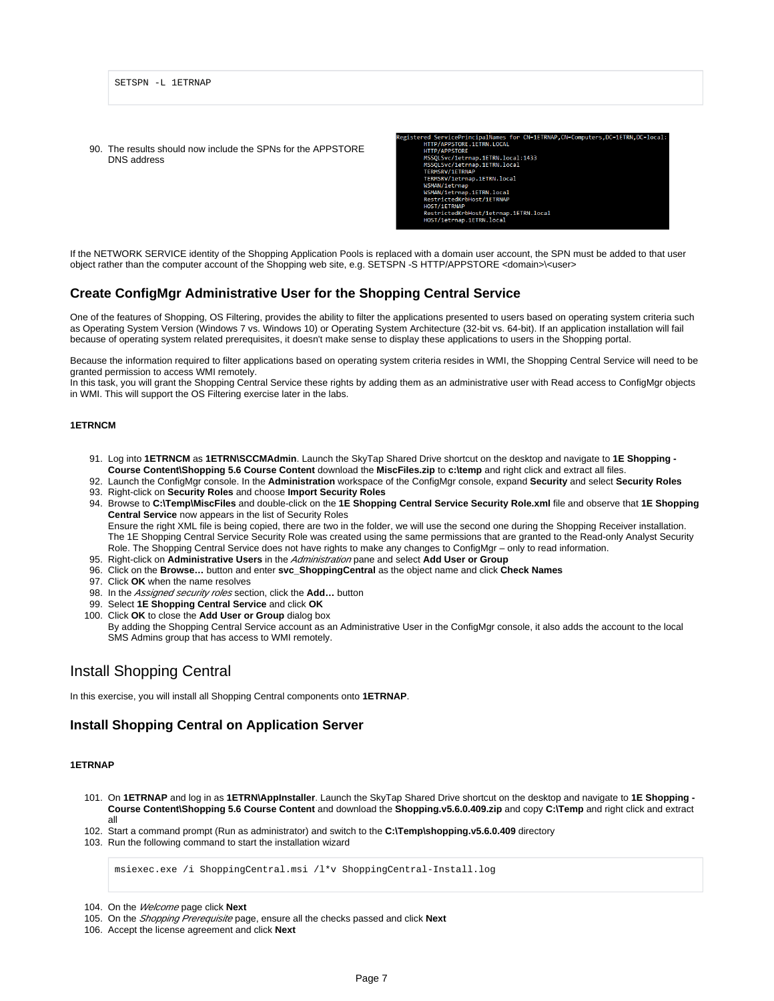90. The results should now include the SPNs for the APPSTORE DNS address



If the NETWORK SERVICE identity of the Shopping Application Pools is replaced with a domain user account, the SPN must be added to that user object rather than the computer account of the Shopping web site, e.g. SETSPN -S HTTP/APPSTORE <domain>\<user>

# <span id="page-6-0"></span>**Create ConfigMgr Administrative User for the Shopping Central Service**

One of the features of Shopping, OS Filtering, provides the ability to filter the applications presented to users based on operating system criteria such as Operating System Version (Windows 7 vs. Windows 10) or Operating System Architecture (32-bit vs. 64-bit). If an application installation will fail because of operating system related prerequisites, it doesn't make sense to display these applications to users in the Shopping portal.

Because the information required to filter applications based on operating system criteria resides in WMI, the Shopping Central Service will need to be granted permission to access WMI remotely.

In this task, you will grant the Shopping Central Service these rights by adding them as an administrative user with Read access to ConfigMgr objects in WMI. This will support the OS Filtering exercise later in the labs.

#### **1ETRNCM**

- 91. Log into **1ETRNCM** as **1ETRN\SCCMAdmin**. Launch the SkyTap Shared Drive shortcut on the desktop and navigate to **1E Shopping Course Content\Shopping 5.6 Course Content** download the **MiscFiles.zip** to **c:\temp** and right click and extract all files.
- 92. Launch the ConfigMgr console. In the **Administration** workspace of the ConfigMgr console, expand **Security** and select **Security Roles**
- 93. Right-click on **Security Roles** and choose **Import Security Roles**
- 94. Browse to **C:\Temp\MiscFiles** and double-click on the **1E Shopping Central Service Security Role.xml** file and observe that **1E Shopping Central Service** now appears in the list of Security Roles Ensure the right XML file is being copied, there are two in the folder, we will use the second one during the Shopping Receiver installation. The 1E Shopping Central Service Security Role was created using the same permissions that are granted to the Read-only Analyst Security Role. The Shopping Central Service does not have rights to make any changes to ConfigMgr – only to read information.
- 95. Right-click on **Administrative Users** in the Administration pane and select **Add User or Group**
- 96. Click on the **Browse…** button and enter **svc\_ShoppingCentral** as the object name and click **Check Names**
- 97. Click **OK** when the name resolves
- 98. In the Assigned security roles section, click the **Add…** button
- 99. Select **1E Shopping Central Service** and click **OK**
- 100. Click **OK** to close the **Add User or Group** dialog box By adding the Shopping Central Service account as an Administrative User in the ConfigMgr console, it also adds the account to the local SMS Admins group that has access to WMI remotely.

# <span id="page-6-1"></span>Install Shopping Central

In this exercise, you will install all Shopping Central components onto **1ETRNAP**.

# <span id="page-6-2"></span>**Install Shopping Central on Application Server**

#### **1ETRNAP**

- 101. On **1ETRNAP** and log in as **1ETRN\AppInstaller**. Launch the SkyTap Shared Drive shortcut on the desktop and navigate to **1E Shopping Course Content\Shopping 5.6 Course Content** and download the **Shopping.v5.6.0.409.zip** and copy **C:\Temp** and right click and extract all
- 102. Start a command prompt (Run as administrator) and switch to the **C:\Temp\shopping.v5.6.0.409** directory
- 103. Run the following command to start the installation wizard

msiexec.exe /i ShoppingCentral.msi /l\*v ShoppingCentral-Install.log

104. On the Welcome page click **Next**

105. On the Shopping Prerequisite page, ensure all the checks passed and click **Next**

<sup>106.</sup>  Accept the license agreement and click **Next**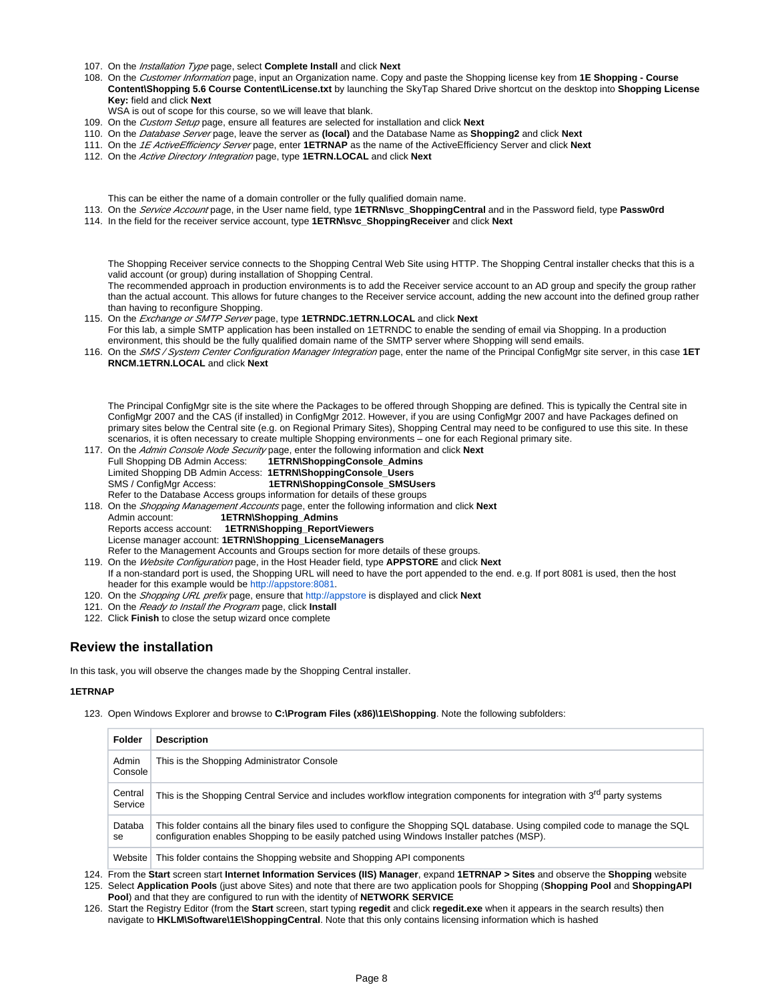- 107. On the Installation Type page, select **Complete Install** and click **Next**
- 108. On the Customer Information page, input an Organization name. Copy and paste the Shopping license key from **1E Shopping Course Content\Shopping 5.6 Course Content\License.txt** by launching the SkyTap Shared Drive shortcut on the desktop into **Shopping License Key:** field and click **Next**
- WSA is out of scope for this course, so we will leave that blank.
- 109. On the Custom Setup page, ensure all features are selected for installation and click **Next**
- 110. On the Database Server page, leave the server as **(local)** and the Database Name as **Shopping2** and click **Next**
- 111. On the 1E ActiveEfficiency Server page, enter **1ETRNAP** as the name of the ActiveEfficiency Server and click **Next**
- 112. On the Active Directory Integration page, type **1ETRN.LOCAL** and click **Next**

This can be either the name of a domain controller or the fully qualified domain name.

- 113. On the Service Account page, in the User name field, type **1ETRN\svc\_ShoppingCentral** and in the Password field, type **Passw0rd**
- 114. In the field for the receiver service account, type **1ETRN\svc\_ShoppingReceiver** and click **Next**

The Shopping Receiver service connects to the Shopping Central Web Site using HTTP. The Shopping Central installer checks that this is a valid account (or group) during installation of Shopping Central.

The recommended approach in production environments is to add the Receiver service account to an AD group and specify the group rather than the actual account. This allows for future changes to the Receiver service account, adding the new account into the defined group rather than having to reconfigure Shopping.

- 115. On the Exchange or SMTP Server page, type **1ETRNDC.1ETRN.LOCAL** and click **Next** For this lab, a simple SMTP application has been installed on 1ETRNDC to enable the sending of email via Shopping. In a production environment, this should be the fully qualified domain name of the SMTP server where Shopping will send emails.
- 116. On the SMS / System Center Configuration Manager Integration page, enter the name of the Principal ConfigMgr site server, in this case **1ET RNCM.1ETRN.LOCAL** and click **Next**

The Principal ConfigMgr site is the site where the Packages to be offered through Shopping are defined. This is typically the Central site in ConfigMgr 2007 and the CAS (if installed) in ConfigMgr 2012. However, if you are using ConfigMgr 2007 and have Packages defined on primary sites below the Central site (e.g. on Regional Primary Sites), Shopping Central may need to be configured to use this site. In these scenarios, it is often necessary to create multiple Shopping environments – one for each Regional primary site.

- 117. On the Admin Console Node Security page, enter the following information and click **Next** Full Shopping DB Admin Access: **1ETRN\ShoppingConsole\_Admins** Limited Shopping DB Admin Access: **1ETRN\ShoppingConsole\_Users** SMS / ConfigMgr Access: **1ETRN\ShoppingConsole\_SMSUsers** Refer to the Database Access groups information for details of these groups
- 118. On the Shopping Management Accounts page, enter the following information and click **Next**
	- Admin account: **1ETRN\Shopping\_Admins**
	- Reports access account: **1ETRN\Shopping\_ReportViewers**
	- License manager account: **1ETRN\Shopping\_LicenseManagers**

Refer to the Management Accounts and Groups section for more details of these groups.

119. On the Website Configuration page, in the Host Header field, type **APPSTORE** and click **Next**

- If a non-standard port is used, the Shopping URL will need to have the port appended to the end. e.g. If port 8081 is used, then the host header for this example would be [http://appstore:8081.](http://appstore:8081/)
- 120. On the Shopping URL prefix page, ensure that [http://appstore](http://appstore/) is displayed and click **Next**
- 121. On the Ready to Install the Program page, click **Install**
- 122. Click **Finish** to close the setup wizard once complete

# <span id="page-7-0"></span>**Review the installation**

In this task, you will observe the changes made by the Shopping Central installer.

#### **1ETRNAP**

123. Open Windows Explorer and browse to **C:\Program Files (x86)\1E\Shopping**. Note the following subfolders:

| <b>Folder</b>      | <b>Description</b>                                                                                                                                                                                                         |
|--------------------|----------------------------------------------------------------------------------------------------------------------------------------------------------------------------------------------------------------------------|
| Admin<br>Console   | This is the Shopping Administrator Console                                                                                                                                                                                 |
| Central<br>Service | This is the Shopping Central Service and includes workflow integration components for integration with 3 <sup>rd</sup> party systems                                                                                       |
| Databa<br>se       | This folder contains all the binary files used to configure the Shopping SQL database. Using compiled code to manage the SQL<br>configuration enables Shopping to be easily patched using Windows Installer patches (MSP). |
| Website            | This folder contains the Shopping website and Shopping API components                                                                                                                                                      |

124. From the **Start** screen start **Internet Information Services (IIS) Manager**, expand **1ETRNAP > Sites** and observe the **Shopping** website 125. Select **Application Pools** (just above Sites) and note that there are two application pools for Shopping (**Shopping Pool** and **ShoppingAPI** 

**Pool**) and that they are configured to run with the identity of **NETWORK SERVICE**

126. Start the Registry Editor (from the **Start** screen, start typing **regedit** and click **regedit.exe** when it appears in the search results) then navigate to **HKLM\Software\1E\ShoppingCentral**. Note that this only contains licensing information which is hashed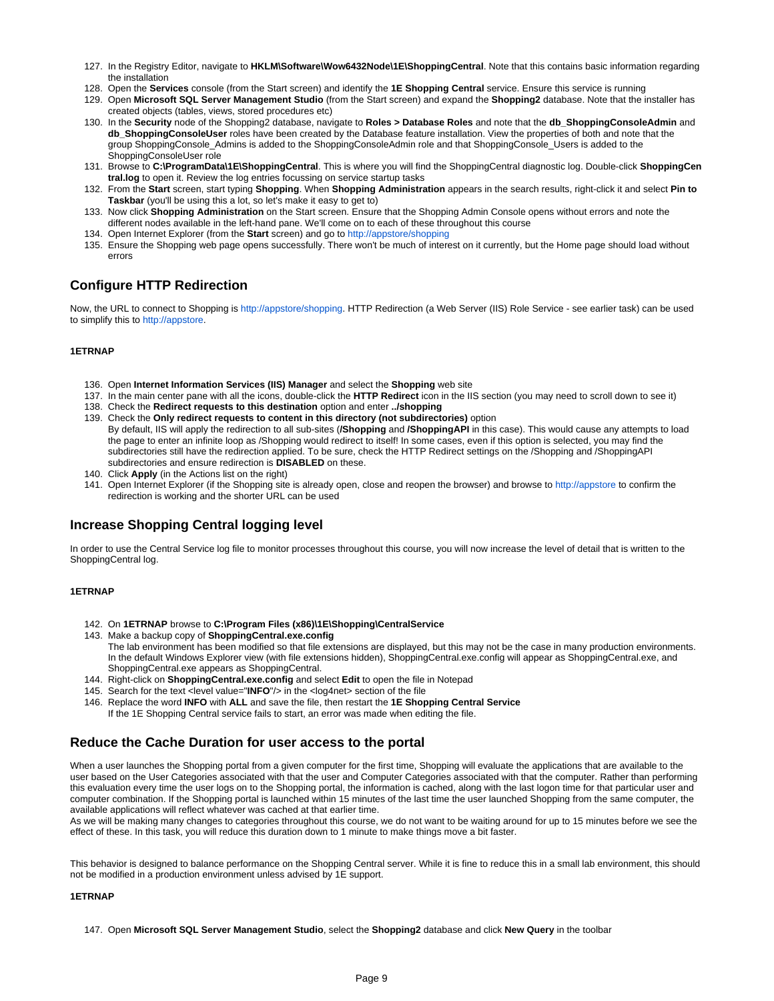- 127. In the Registry Editor, navigate to **HKLM\Software\Wow6432Node\1E\ShoppingCentral**. Note that this contains basic information regarding the installation
- 128. Open the **Services** console (from the Start screen) and identify the **1E Shopping Central** service. Ensure this service is running
- 129. Open **Microsoft SQL Server Management Studio** (from the Start screen) and expand the **Shopping2** database. Note that the installer has created objects (tables, views, stored procedures etc)
- 130. In the **Security** node of the Shopping2 database, navigate to **Roles > Database Roles** and note that the **db\_ShoppingConsoleAdmin** and **db\_ShoppingConsoleUser** roles have been created by the Database feature installation. View the properties of both and note that the group ShoppingConsole\_Admins is added to the ShoppingConsoleAdmin role and that ShoppingConsole\_Users is added to the ShoppingConsoleUser role
- 131. Browse to **C:\ProgramData\1E\ShoppingCentral**. This is where you will find the ShoppingCentral diagnostic log. Double-click **ShoppingCen tral.log** to open it. Review the log entries focussing on service startup tasks
- 132. From the **Start** screen, start typing **Shopping**. When **Shopping Administration** appears in the search results, right-click it and select **Pin to Taskbar** (you'll be using this a lot, so let's make it easy to get to)
- 133. Now click **Shopping Administration** on the Start screen. Ensure that the Shopping Admin Console opens without errors and note the different nodes available in the left-hand pane. We'll come on to each of these throughout this course
- 134. Open Internet Explorer (from the **Start** screen) and go to [http://appstore/shopping](http://appstore/shopping*)
- 135. Ensure the Shopping web page opens successfully. There won't be much of interest on it currently, but the Home page should load without errors

# <span id="page-8-0"></span>**Configure HTTP Redirection**

Now, the URL to connect to Shopping is [http://appstore/shopping](http://appstore/Shopping). HTTP Redirection (a Web Server (IIS) Role Service - see earlier task) can be used to simplify this to [http://appstore.](http://appstore/)

# **1ETRNAP**

- 136. Open **Internet Information Services (IIS) Manager** and select the **Shopping** web site
- 137. In the main center pane with all the icons, double-click the **HTTP Redirect** icon in the IIS section (you may need to scroll down to see it)
- 138. Check the **Redirect requests to this destination** option and enter **../shopping**
- 139. Check the **Only redirect requests to content in this directory (not subdirectories)** option By default, IIS will apply the redirection to all sub-sites (**/Shopping** and **/ShoppingAPI** in this case). This would cause any attempts to load the page to enter an infinite loop as /Shopping would redirect to itself! In some cases, even if this option is selected, you may find the subdirectories still have the redirection applied. To be sure, check the HTTP Redirect settings on the /Shopping and /ShoppingAPI subdirectories and ensure redirection is **DISABLED** on these.
- 140. Click **Apply** (in the Actions list on the right)
- 141. Open Internet Explorer (if the Shopping site is already open, close and reopen the browser) and browse to [http://appstore](http://appstore%2A/) to confirm the redirection is working and the shorter URL can be used

# <span id="page-8-1"></span>**Increase Shopping Central logging level**

In order to use the Central Service log file to monitor processes throughout this course, you will now increase the level of detail that is written to the ShoppingCentral log.

### **1ETRNAP**

- 142. On **1ETRNAP** browse to **C:\Program Files (x86)\1E\Shopping\CentralService**
- 143. Make a backup copy of **ShoppingCentral.exe.config**
	- The lab environment has been modified so that file extensions are displayed, but this may not be the case in many production environments. In the default Windows Explorer view (with file extensions hidden), ShoppingCentral.exe.config will appear as ShoppingCentral.exe, and ShoppingCentral.exe appears as ShoppingCentral.
- 144. Right-click on **ShoppingCentral.exe.config** and select **Edit** to open the file in Notepad
- 145. Search for the text <level value="**INFO**"/> in the <log4net> section of the file
- 146. Replace the word **INFO** with **ALL** and save the file, then restart the **1E Shopping Central Service**
- If the 1E Shopping Central service fails to start, an error was made when editing the file.

# <span id="page-8-2"></span>**Reduce the Cache Duration for user access to the portal**

When a user launches the Shopping portal from a given computer for the first time, Shopping will evaluate the applications that are available to the user based on the User Categories associated with that the user and Computer Categories associated with that the computer. Rather than performing this evaluation every time the user logs on to the Shopping portal, the information is cached, along with the last logon time for that particular user and computer combination. If the Shopping portal is launched within 15 minutes of the last time the user launched Shopping from the same computer, the available applications will reflect whatever was cached at that earlier time.

As we will be making many changes to categories throughout this course, we do not want to be waiting around for up to 15 minutes before we see the effect of these. In this task, you will reduce this duration down to 1 minute to make things move a bit faster.

This behavior is designed to balance performance on the Shopping Central server. While it is fine to reduce this in a small lab environment, this should not be modified in a production environment unless advised by 1E support.

### **1ETRNAP**

147. Open **Microsoft SQL Server Management Studio**, select the **Shopping2** database and click **New Query** in the toolbar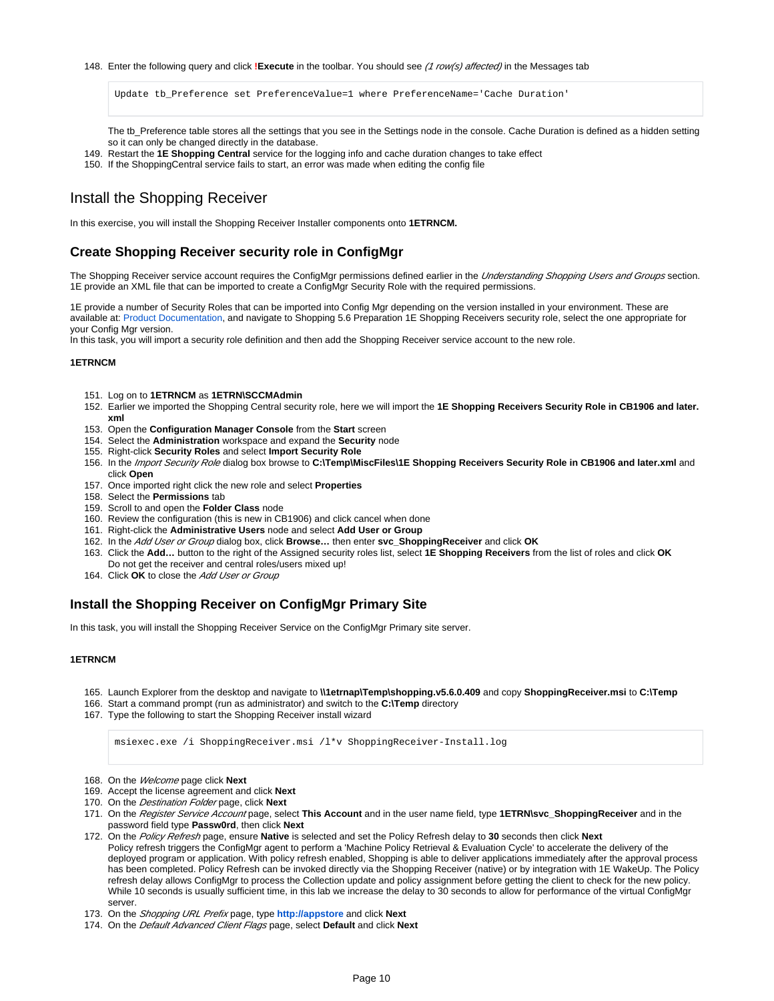#### 148. Enter the following query and click **!Execute** in the toolbar. You should see *(1 row(s) affected)* in the Messages tab

Update tb\_Preference set PreferenceValue=1 where PreferenceName='Cache Duration'

The tb\_Preference table stores all the settings that you see in the Settings node in the console. Cache Duration is defined as a hidden setting so it can only be changed directly in the database.

- 149. Restart the **1E Shopping Central** service for the logging info and cache duration changes to take effect
- 150. If the ShoppingCentral service fails to start, an error was made when editing the config file

# <span id="page-9-0"></span>Install the Shopping Receiver

In this exercise, you will install the Shopping Receiver Installer components onto **1ETRNCM.**

# <span id="page-9-1"></span>**Create Shopping Receiver security role in ConfigMgr**

The Shopping Receiver service account requires the ConfigMgr permissions defined earlier in the Understanding Shopping Users and Groups section. 1E provide an XML file that can be imported to create a ConfigMgr Security Role with the required permissions.

1E provide a number of Security Roles that can be imported into Config Mgr depending on the version installed in your environment. These are available at: [Product Documentation,](http://help.1e.com/display/HLP/Product+Documentation) and navigate to Shopping 5.6 Preparation 1E Shopping Receivers security role, select the one appropriate for your Config Mgr version.

In this task, you will import a security role definition and then add the Shopping Receiver service account to the new role.

#### **1ETRNCM**

- 151. Log on to **1ETRNCM** as **1ETRN\SCCMAdmin**
- 152. Earlier we imported the Shopping Central security role, here we will import the **1E Shopping Receivers Security Role in CB1906 and later. xml**
- 153. Open the **Configuration Manager Console** from the **Start** screen
- 154. Select the **Administration** workspace and expand the **Security** node
- 155. Right-click **Security Roles** and select **Import Security Role**
- 156. In the Import Security Role dialog box browse to C:**\Temp\MiscFiles\1E Shopping Receivers Security Role in CB1906 and later.xml** and click **Open**
- 157. Once imported right click the new role and select **Properties**
- 158. Select the **Permissions** tab
- 159. Scroll to and open the **Folder Class** node
- 160. Review the configuration (this is new in CB1906) and click cancel when done
- 161. Right-click the **Administrative Users** node and select **Add User or Group**
- 162. In the Add User or Group dialog box, click **Browse…** then enter **svc\_ShoppingReceiver** and click **OK**
- 163. Click the **Add…** button to the right of the Assigned security roles list, select **1E Shopping Receivers** from the list of roles and click **OK** Do not get the receiver and central roles/users mixed up!
- 164. Click OK to close the Add User or Group

# <span id="page-9-2"></span>**Install the Shopping Receiver on ConfigMgr Primary Site**

In this task, you will install the Shopping Receiver Service on the ConfigMgr Primary site server.

#### **1ETRNCM**

- 165. Launch Explorer from the desktop and navigate to **\\1etrnap\Temp\shopping.v5.6.0.409** and copy **ShoppingReceiver.msi** to **C:\Temp**
- 166. Start a command prompt (run as administrator) and switch to the **C:\Temp** directory
- 167. Type the following to start the Shopping Receiver install wizard

msiexec.exe /i ShoppingReceiver.msi /l\*v ShoppingReceiver-Install.log

- 168. On the Welcome page click **Next**
- 169. Accept the license agreement and click **Next**
- 170. On the Destination Folder page, click **Next**
- 171. On the Register Service Account page, select **This Account** and in the user name field, type **1ETRN\svc\_ShoppingReceiver** and in the password field type **Passw0rd**, then click **Next**
- 172. On the Policy Refresh page, ensure **Native** is selected and set the Policy Refresh delay to **30** seconds then click **Next** Policy refresh triggers the ConfigMgr agent to perform a 'Machine Policy Retrieval & Evaluation Cycle' to accelerate the delivery of the deployed program or application. With policy refresh enabled, Shopping is able to deliver applications immediately after the approval process has been completed. Policy Refresh can be invoked directly via the Shopping Receiver (native) or by integration with 1E WakeUp. The Policy refresh delay allows ConfigMgr to process the Collection update and policy assignment before getting the client to check for the new policy. While 10 seconds is usually sufficient time, in this lab we increase the delay to 30 seconds to allow for performance of the virtual ConfigMgr server.
- 173. On the Shopping URL Prefix page, type **[http://appstore](http://appstore/)** and click **Next**
- 174. On the Default Advanced Client Flags page, select **Default** and click **Next**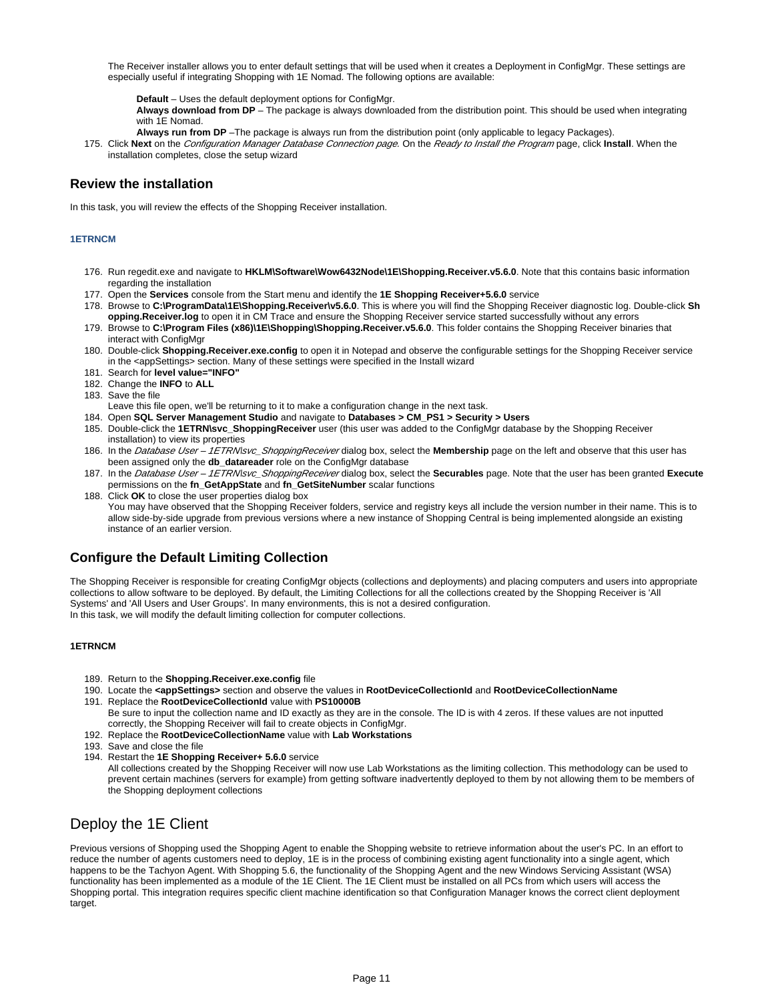The Receiver installer allows you to enter default settings that will be used when it creates a Deployment in ConfigMgr. These settings are especially useful if integrating Shopping with 1E Nomad. The following options are available:

**Default** – Uses the default deployment options for ConfigMgr.

**Always download from DP** – The package is always downloaded from the distribution point. This should be used when integrating with 1E Nomad.

- **Always run from DP** –The package is always run from the distribution point (only applicable to legacy Packages).
- 175. Click Next on the *Configuration Manager Database Connection page.* On the *Ready to Install the Program* page, click Install. When the installation completes, close the setup wizard

# <span id="page-10-0"></span>**Review the installation**

In this task, you will review the effects of the Shopping Receiver installation.

### **1ETRNCM**

- 176. Run regedit.exe and navigate to **HKLM\Software\Wow6432Node\1E\Shopping.Receiver.v5.6.0**. Note that this contains basic information regarding the installation
- 177. Open the **Services** console from the Start menu and identify the **1E Shopping Receiver+5.6.0** service
- 178. Browse to **C:\ProgramData\1E\Shopping.Receiver\v5.6.0**. This is where you will find the Shopping Receiver diagnostic log. Double-click **Sh opping.Receiver.log** to open it in CM Trace and ensure the Shopping Receiver service started successfully without any errors
- 179. Browse to **C:\Program Files (x86)\1E\Shopping\Shopping.Receiver.v5.6.0**. This folder contains the Shopping Receiver binaries that interact with ConfigMgr
- 180. Double-click **Shopping.Receiver.exe.config** to open it in Notepad and observe the configurable settings for the Shopping Receiver service in the <appSettings> section. Many of these settings were specified in the Install wizard
- 181. Search for **level value="INFO"**
- 182. Change the **INFO** to **ALL**
- 183. Save the file
- Leave this file open, we'll be returning to it to make a configuration change in the next task.
- 184. Open **SQL Server Management Studio** and navigate to **Databases > CM\_PS1 > Security > Users**
- 185. Double-click the **1ETRN\svc\_ShoppingReceiver** user (this user was added to the ConfigMgr database by the Shopping Receiver installation) to view its properties
- 186. In the *Database User 1ETRN\svc\_ShoppingReceiver* dialog box, select the **Membership** page on the left and observe that this user has been assigned only the **db\_datareader** role on the ConfigMgr database
- 187. In the Database User 1ETRN\svc\_ShoppingReceiver dialog box, select the **Securables** page. Note that the user has been granted **Execute** permissions on the **fn\_GetAppState** and **fn\_GetSiteNumber** scalar functions
- 188. Click **OK** to close the user properties dialog box You may have observed that the Shopping Receiver folders, service and registry keys all include the version number in their name. This is to allow side-by-side upgrade from previous versions where a new instance of Shopping Central is being implemented alongside an existing instance of an earlier version.

# <span id="page-10-1"></span>**Configure the Default Limiting Collection**

The Shopping Receiver is responsible for creating ConfigMgr objects (collections and deployments) and placing computers and users into appropriate collections to allow software to be deployed. By default, the Limiting Collections for all the collections created by the Shopping Receiver is 'All Systems' and 'All Users and User Groups'. In many environments, this is not a desired configuration. In this task, we will modify the default limiting collection for computer collections.

### **1ETRNCM**

- 189. Return to the **Shopping.Receiver.exe.config** file
- 190. Locate the **<appSettings>** section and observe the values in **RootDeviceCollectionId** and **RootDeviceCollectionName**
- 191. Replace the **RootDeviceCollectionId** value with **PS10000B** Be sure to input the collection name and ID exactly as they are in the console. The ID is with 4 zeros. If these values are not inputted correctly, the Shopping Receiver will fail to create objects in ConfigMgr.
- 192. Replace the **RootDeviceCollectionName** value with **Lab Workstations**
- 193. Save and close the file
- 194. Restart the **1E Shopping Receiver+ 5.6.0** service
	- All collections created by the Shopping Receiver will now use Lab Workstations as the limiting collection. This methodology can be used to prevent certain machines (servers for example) from getting software inadvertently deployed to them by not allowing them to be members of the Shopping deployment collections

# <span id="page-10-2"></span>Deploy the 1E Client

Previous versions of Shopping used the Shopping Agent to enable the Shopping website to retrieve information about the user's PC. In an effort to reduce the number of agents customers need to deploy, 1E is in the process of combining existing agent functionality into a single agent, which happens to be the Tachyon Agent. With Shopping 5.6, the functionality of the Shopping Agent and the new Windows Servicing Assistant (WSA) functionality has been implemented as a module of the 1E Client. The 1E Client must be installed on all PCs from which users will access the Shopping portal. This integration requires specific client machine identification so that Configuration Manager knows the correct client deployment target.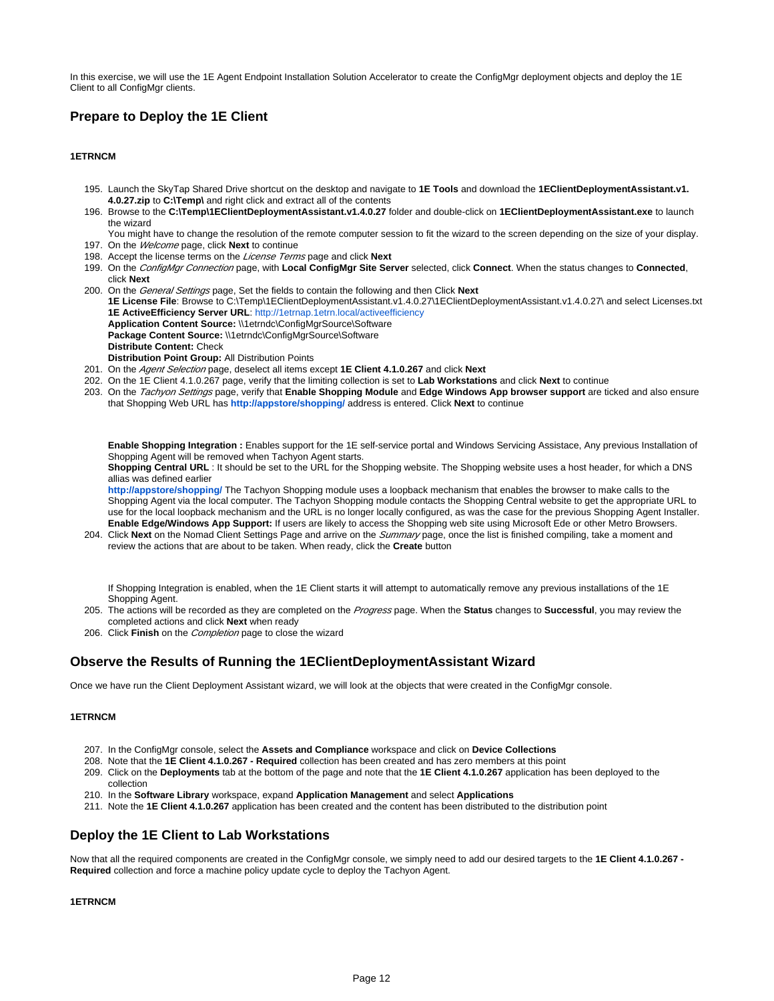In this exercise, we will use the 1E Agent Endpoint Installation Solution Accelerator to create the ConfigMgr deployment objects and deploy the 1E Client to all ConfigMgr clients.

# <span id="page-11-0"></span>**Prepare to Deploy the 1E Client**

# **1ETRNCM**

- 195. Launch the SkyTap Shared Drive shortcut on the desktop and navigate to **1E Tools** and download the **1EClientDeploymentAssistant.v1. 4.0.27.zip** to **C:\Temp\** and right click and extract all of the contents
- 196. Browse to the **C:\Temp\1EClientDeploymentAssistant.v1.4.0.27** folder and double-click on **1EClientDeploymentAssistant.exe** to launch the wizard
- 197. On the Welcome page, click **Next** to continue You might have to change the resolution of the remote computer session to fit the wizard to the screen depending on the size of your display.
- 198. Accept the license terms on the License Terms page and click **Next**
- 199. On the ConfigMgr Connection page, with **Local ConfigMgr Site Server** selected, click **Connect**. When the status changes to **Connected**, click **Next**
- 200. On the General Settings page, Set the fields to contain the following and then Click **Next 1E License File**: Browse to C:\Temp\1EClientDeploymentAssistant.v1.4.0.27\1EClientDeploymentAssistant.v1.4.0.27\ and select Licenses.txt **1E ActiveEfficiency Server URL**: <http://1etrnap.1etrn.local/activeefficiency> **Application Content Source:** \\1etrndc\ConfigMgrSource\Software **Package Content Source:** \\1etrndc\ConfigMgrSource\Software **Distribute Content:** Check **Distribution Point Group:** All Distribution Points
- 201. On the Agent Selection page, deselect all items except **1E Client 4.1.0.267** and click **Next**
- 202. On the 1E Client 4.1.0.267 page, verify that the limiting collection is set to **Lab Workstations** and click **Next** to continue
- 203. On the Tachyon Settings page, verify that **Enable Shopping Module** and **Edge Windows App browser support** are ticked and also ensure that Shopping Web URL has **<http://appstore/shopping/>** address is entered. Click **Next** to continue

**Enable Shopping Integration :** Enables support for the 1E self-service portal and Windows Servicing Assistace, Any previous Installation of Shopping Agent will be removed when Tachyon Agent starts.

Shopping Central URL : It should be set to the URL for the Shopping website. The Shopping website uses a host header, for which a DNS allias was defined earlier

**[http://appstore/shopping/](http://appstore/Shopping/)** The Tachyon Shopping module uses a loopback mechanism that enables the browser to make calls to the Shopping Agent via the local computer. The Tachyon Shopping module contacts the Shopping Central website to get the appropriate URL to use for the local loopback mechanism and the URL is no longer locally configured, as was the case for the previous Shopping Agent Installer. **Enable Edge/Windows App Support:** If users are likely to access the Shopping web site using Microsoft Ede or other Metro Browsers.

204. Click Next on the Nomad Client Settings Page and arrive on the Summary page, once the list is finished compiling, take a moment and review the actions that are about to be taken. When ready, click the **Create** button

If Shopping Integration is enabled, when the 1E Client starts it will attempt to automatically remove any previous installations of the 1E Shopping Agent.

- 205. The actions will be recorded as they are completed on the Progress page. When the **Status** changes to **Successful**, you may review the completed actions and click **Next** when ready
- 206. Click **Finish** on the Completion page to close the wizard

# <span id="page-11-1"></span>**Observe the Results of Running the 1EClientDeploymentAssistant Wizard**

Once we have run the Client Deployment Assistant wizard, we will look at the objects that were created in the ConfigMgr console.

### **1ETRNCM**

- 207. In the ConfigMgr console, select the **Assets and Compliance** workspace and click on **Device Collections**
- 208. Note that the **1E Client 4.1.0.267 Required** collection has been created and has zero members at this point
- 209. Click on the **Deployments** tab at the bottom of the page and note that the **1E Client 4.1.0.267** application has been deployed to the collection
- 210. In the **Software Library** workspace, expand **Application Management** and select **Applications**
- 211. Note the **1E Client 4.1.0.267** application has been created and the content has been distributed to the distribution point

# <span id="page-11-2"></span>**Deploy the 1E Client to Lab Workstations**

Now that all the required components are created in the ConfigMgr console, we simply need to add our desired targets to the **1E Client 4.1.0.267 - Required** collection and force a machine policy update cycle to deploy the Tachyon Agent.

### **1ETRNCM**